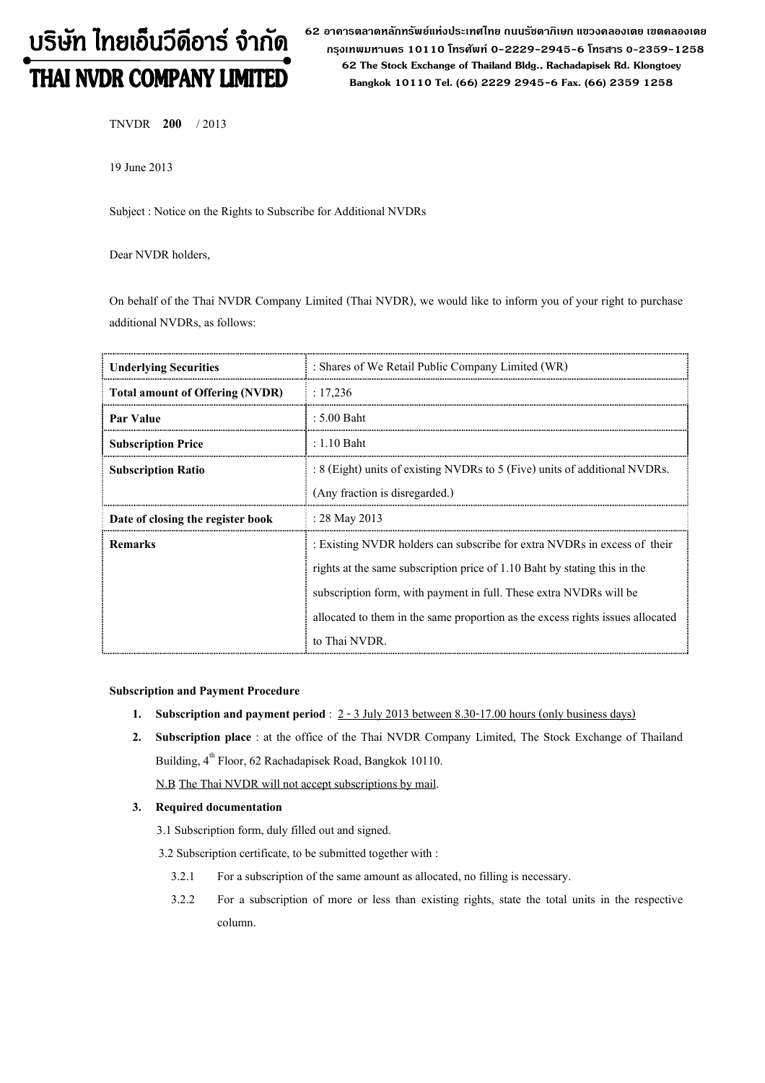# บริษัท ไทยเอ็นวีดีอาร์ จำกัด THAI NVDR COMPANY LIMITED

62 อาดารตลาดหลักทรัพย์แห่งประเทศไทย ถนนรัซดาภิเษก แขวงดลองเตย เขตดลองเตย กรุงเทพมหานดร 10110 โทรศัพท์ 0-2229-2945-6 โทรสาร 0-2359-1258 62 The Stock Exchange of Thailand Bldg., Rachadapisek Rd. Klongtoey Bangkok 10110 Tel. (66) 2229 2945-6 Fax. (66) 2359 1258

TNVDR 200 / 2013

19 June 2013

Subject : Notice on the Rights to Subscribe for Additional NVDRs

Dear NVDR holders,

On behalf of the Thai NVDR Company Limited (Thai NVDR), we would like to inform you of your right to purchase additional NVDRs, as follows:

| <b>Underlying Securities</b>           | : Shares of We Retail Public Company Limited (WR)                              |  |
|----------------------------------------|--------------------------------------------------------------------------------|--|
| <b>Total amount of Offering (NVDR)</b> | : 17,236                                                                       |  |
| Par Value                              | $: 5.00$ Baht                                                                  |  |
| <b>Subscription Price</b>              | $: 1.10$ Baht                                                                  |  |
| <b>Subscription Ratio</b>              | : 8 (Eight) units of existing NVDRs to 5 (Five) units of additional NVDRs.     |  |
|                                        | (Any fraction is disregarded.)                                                 |  |
| Date of closing the register book      | : $28$ May $2013$                                                              |  |
| <b>Remarks</b>                         | : Existing NVDR holders can subscribe for extra NVDRs in excess of their       |  |
|                                        | rights at the same subscription price of 1.10 Baht by stating this in the      |  |
|                                        | subscription form, with payment in full. These extra NVDRs will be             |  |
|                                        | allocated to them in the same proportion as the excess rights issues allocated |  |
|                                        | to Thai NVDR.                                                                  |  |

### Subscription and Payment Procedure

- 1. Subscription and payment period :  $2 3$  July 2013 between 8.30-17.00 hours (only business days)
- 2. Subscription place : at the office of the Thai NVDR Company Limited, The Stock Exchange of Thailand Building, 4<sup>th</sup> Floor, 62 Rachadapisek Road, Bangkok 10110.

N.B The Thai NVDR will not accept subscriptions by mail.

## 3. Required documentation

- 3.1 Subscription form, duly filled out and signed.
- 3.2 Subscription certificate, to be submitted together with :
	- 3.2.1 For a subscription of the same amount as allocated, no filling is necessary.
	- 3.2.2 For a subscription of more or less than existing rights, state the total units in the respective column.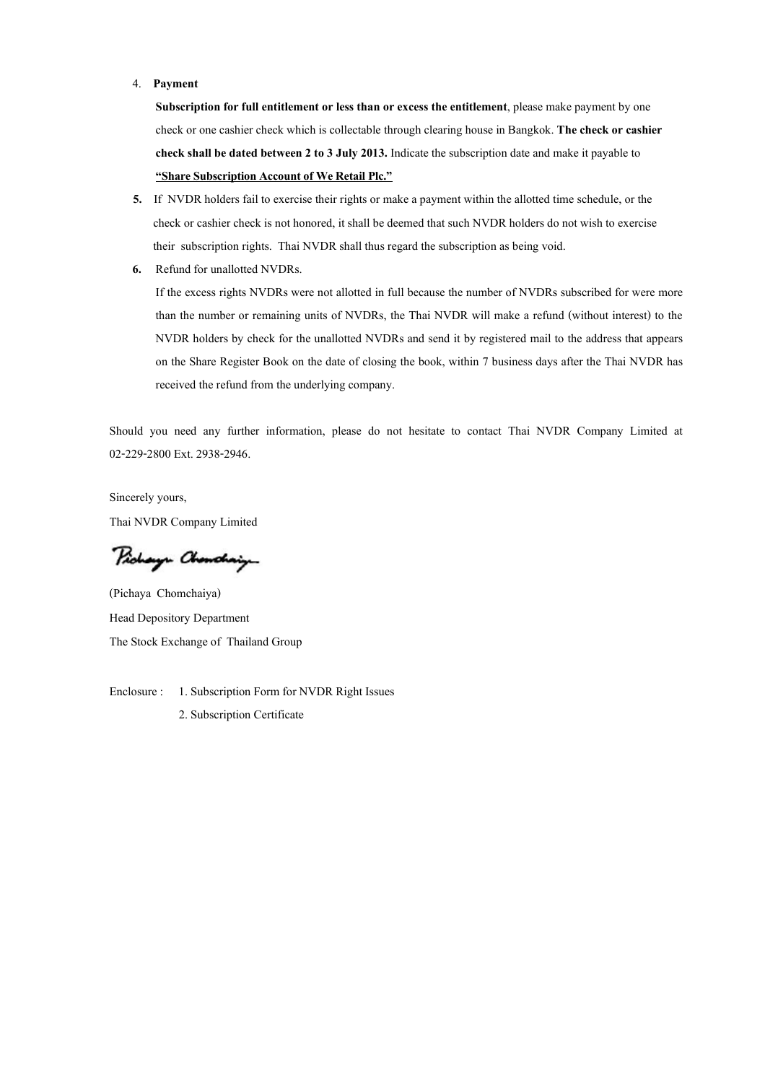#### 4. Payment

Subscription for full entitlement or less than or excess the entitlement, please make payment by one check or one cashier check which is collectable through clearing house in Bangkok. The check or cashier check shall be dated between 2 to 3 July 2013. Indicate the subscription date and make it payable to "Share Subscription Account of We Retail Plc."

- 5. If NVDR holders fail to exercise their rights or make a payment within the allotted time schedule, or the check or cashier check is not honored, it shall be deemed that such NVDR holders do not wish to exercise their subscription rights. Thai NVDR shall thus regard the subscription as being void.
- 6. Refund for unallotted NVDRs.

If the excess rights NVDRs were not allotted in full because the number of NVDRs subscribed for were more than the number or remaining units of NVDRs, the Thai NVDR will make a refund (without interest) to the NVDR holders by check for the unallotted NVDRs and send it by registered mail to the address that appears on the Share Register Book on the date of closing the book, within 7 business days after the Thai NVDR has received the refund from the underlying company.

Should you need any further information, please do not hesitate to contact Thai NVDR Company Limited at 02-229-2800 Ext. 2938-2946.

Sincerely yours, Thai NVDR Company Limited

Pichaya Chanchaig

(Pichaya Chomchaiya) Head Depository Department The Stock Exchange of Thailand Group

Enclosure : 1. Subscription Form for NVDR Right Issues 2. Subscription Certificate